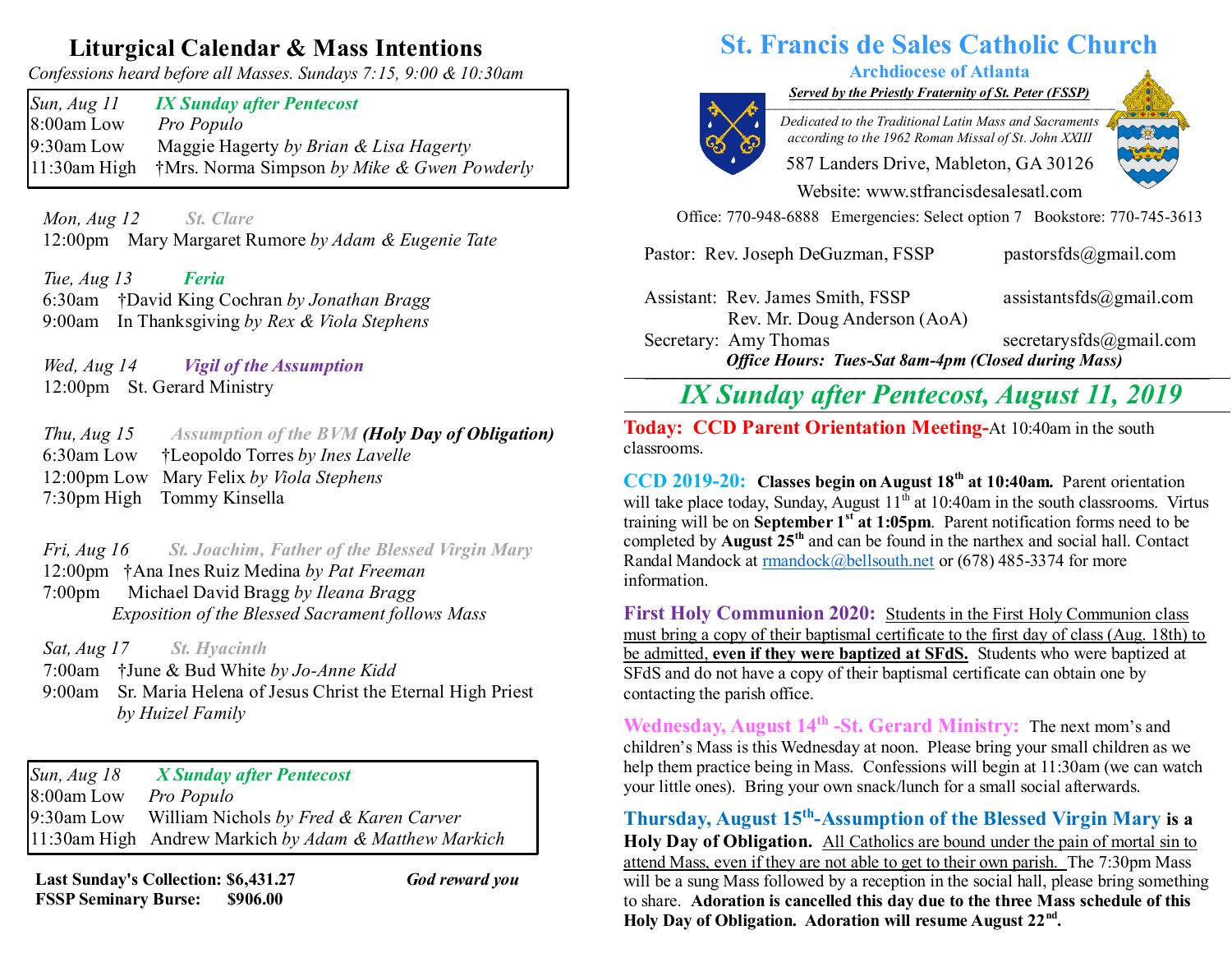## **Liturgical Calendar & Mass Intentions**

*Confessions heard before all Masses. Sundays 7:15, 9:00 & 10:30am*

*Sun, Aug 11 IX Sunday after Pentecost* 8:00am Low *Pro Populo* 9:30am Low Maggie Hagerty *by Brian & Lisa Hagerty* 11:30am High †Mrs. Norma Simpson *by Mike & Gwen Powderly*

 *Mon, Aug 12 St. Clare*  12:00pm Mary Margaret Rumore *by Adam & Eugenie Tate*

 *Tue, Aug 13 Feria* 6:30am †David King Cochran *by Jonathan Bragg* 9:00am In Thanksgiving *by Rex & Viola Stephens*

 *Wed, Aug 14 Vigil of the Assumption*  12:00pm St. Gerard Ministry

 *Thu, Aug 15 Assumption of the BVM (Holy Day of Obligation)* 6:30am Low †Leopoldo Torres *by Ines Lavelle* 12:00pm Low Mary Felix *by Viola Stephens* 7:30pm High Tommy Kinsella

 *Fri, Aug 16 St. Joachim, Father of the Blessed Virgin Mary*  12:00pm †Ana Ines Ruiz Medina *by Pat Freeman* 7:00pm Michael David Bragg *by Ileana Bragg Exposition of the Blessed Sacrament follows Mass*

*Sat, Aug 17 St. Hyacinth*

7:00am †June & Bud White *by Jo-Anne Kidd* 9:00am Sr. Maria Helena of Jesus Christ the Eternal High Priest  *by Huizel Family*

*Sun, Aug 18 X Sunday after Pentecost*  8:00am Low *Pro Populo* 9:30am Low William Nichols *by Fred & Karen Carver* 11:30am High Andrew Markich *by Adam & Matthew Markich*

**Last Sunday's Collection: \$6,431.27** *God reward you* **FSSP Seminary Burse: \$906.00**

# **St. Francis de Sales Catholic Church**

### **Archdiocese of Atlanta**

*Served by the Priestly Fraternity of St. Peter (FSSP) \_\_\_\_\_\_\_\_\_\_\_\_\_\_\_\_\_\_\_\_\_\_\_\_\_\_\_\_\_\_\_\_\_\_\_\_\_\_\_\_\_\_\_\_\_\_\_\_\_\_\_\_\_\_\_\_\_\_\_\_\_\_\_\_\_\_\_\_\_\_\_\_\_\_\_*



*Dedicated to the Traditional Latin Mass and Sacraments according to the 1962 Roman Missal of St. John XXIII*

587 Landers Drive, Mableton, GA 30126

Website: [www.stfrancisdesalesatl.com](http://www.stfrancisdesalesatl.com/)

Office: 770-948-6888 Emergencies: Select option 7 Bookstore: 770-745-3613

Pastor: Rev. Joseph DeGuzman, FSSP [pastorsfds@gm](mailto:pastorsfds@gm)[ail.com](mailto:pastorsfds@gmail.com)

Assistant: Rev. James Smith, FSSP [assistantsfds@gmail.com](mailto:assistantsfds@gmail.com) Rev. Mr. Doug Anderson (AoA)

Secretary: Amy Thomas [secretarysfds@gmail.com](mailto:secretarysfds@gmail.com) *Office Hours: Tues-Sat 8am-4pm (Closed during Mass)* **\_\_\_\_\_\_\_\_\_\_\_\_\_\_\_\_\_\_\_\_\_\_\_\_\_\_\_\_\_\_\_\_\_\_\_\_\_\_\_\_\_\_\_\_\_\_\_\_\_\_\_\_\_\_\_\_\_\_\_\_\_\_\_\_\_\_\_\_\_\_\_\_\_\_\_\_\_\_\_\_\_\_\_\_\_\_\_\_\_\_\_\_\_\_\_\_\_\_\_\_\_\_\_\_\_\_\_\_\_\_\_\_\_\_\_\_\_\_\_\_\_**

*IX Sunday after Pentecost, August 11, 2019*

**The COD Parent Orientation Meeting-At 10:40am in the south Today: CCD Parent Orientation Meeting-At 10:40am in the south** classrooms.

**CCD 2019-20: Classes begin on August 18th at 10:40am.** Parent orientation will take place today, Sunday, August  $11^{\overline{th}}$  at 10:40am in the south classrooms. Virtus training will be on **September 1 st at 1:05pm**. Parent notification forms need to be completed by **August 25th** and can be found in the narthex and social hall. Contact Randal Mandock a[t rmandock@bellsouth.net](mailto:rmandock@bellsouth.net) or (678) 485-3374 for more information.

**First Holy Communion 2020:** Students in the First Holy Communion class must bring a copy of their baptismal certificate to the first day of class (Aug. 18th) to be admitted, **even if they were baptized at SFdS.** Students who were baptized at SFdS and do not have a copy of their baptismal certificate can obtain one by contacting the parish office.

**Wednesday, August 14th -St. Gerard Ministry:** The next mom's and children's Mass is this Wednesday at noon. Please bring your small children as we help them practice being in Mass. Confessions will begin at 11:30am (we can watch your little ones). Bring your own snack/lunch for a small social afterwards.

**Thursday, August 15th -Assumption of the Blessed Virgin Mary is a Holy Day of Obligation.** All Catholics are bound under the pain of mortal sin to attend Mass, even if they are not able to get to their own parish. The 7:30pm Mass will be a sung Mass followed by a reception in the social hall, please bring something to share. **Adoration is cancelled this day due to the three Mass schedule of this Holy Day of Obligation. Adoration will resume August 22nd .**